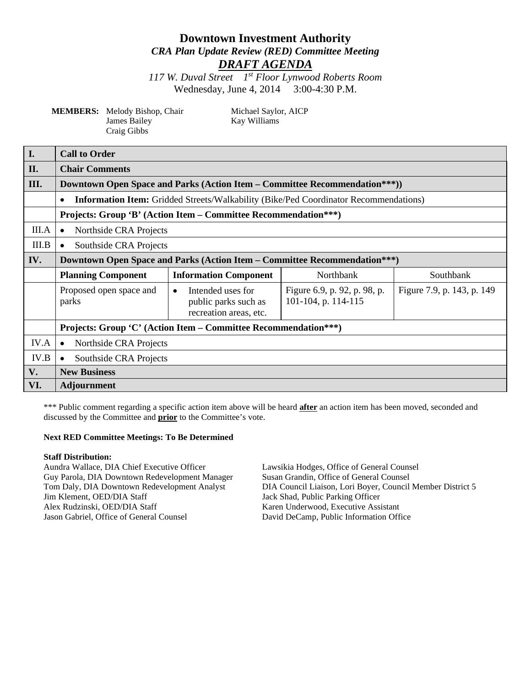# **Downtown Investment Authority** *CRA Plan Update Review (RED) Committee Meeting DRAFT AGENDA*

*117 W. Duval Street 1st Floor Lynwood Roberts Room* Wednesday, June 4, 2014 3:00-4:30 P.M.

| <b>MEMBERS:</b> Melody Bishop, Chair |
|--------------------------------------|
| James Bailey                         |
| Craig Gibbs                          |

Michael Saylor, AICP Kay Williams

| $\mathbf{I}$ . | <b>Call to Order</b>                                                                                     |                                                                                  |                                                     |                            |  |
|----------------|----------------------------------------------------------------------------------------------------------|----------------------------------------------------------------------------------|-----------------------------------------------------|----------------------------|--|
| II.            | <b>Chair Comments</b>                                                                                    |                                                                                  |                                                     |                            |  |
| III.           | Downtown Open Space and Parks (Action Item – Committee Recommendation***))                               |                                                                                  |                                                     |                            |  |
|                | <b>Information Item:</b> Gridded Streets/Walkability (Bike/Ped Coordinator Recommendations)<br>$\bullet$ |                                                                                  |                                                     |                            |  |
|                | Projects: Group 'B' (Action Item – Committee Recommendation***)                                          |                                                                                  |                                                     |                            |  |
| III.A          | Northside CRA Projects<br>$\bullet$                                                                      |                                                                                  |                                                     |                            |  |
| III.B          | Southside CRA Projects<br>$\bullet$                                                                      |                                                                                  |                                                     |                            |  |
| IV.            | <b>Downtown Open Space and Parks (Action Item – Committee Recommendation***)</b>                         |                                                                                  |                                                     |                            |  |
|                | <b>Planning Component</b>                                                                                | <b>Information Component</b>                                                     | Northbank                                           | Southbank                  |  |
|                | Proposed open space and<br>parks                                                                         | Intended uses for<br>$\bullet$<br>public parks such as<br>recreation areas, etc. | Figure 6.9, p. 92, p. 98, p.<br>101-104, p. 114-115 | Figure 7.9, p. 143, p. 149 |  |
|                | Projects: Group 'C' (Action Item – Committee Recommendation***)                                          |                                                                                  |                                                     |                            |  |
| IV.A           | Northside CRA Projects<br>$\bullet$                                                                      |                                                                                  |                                                     |                            |  |
| IV.B           | Southside CRA Projects<br>$\bullet$                                                                      |                                                                                  |                                                     |                            |  |
| V.             | <b>New Business</b>                                                                                      |                                                                                  |                                                     |                            |  |
| VI.            | <b>Adjournment</b>                                                                                       |                                                                                  |                                                     |                            |  |

\*\*\* Public comment regarding a specific action item above will be heard **after** an action item has been moved, seconded and discussed by the Committee and **prior** to the Committee's vote.

#### **Next RED Committee Meetings: To Be Determined**

#### **Staff Distribution:**

Aundra Wallace, DIA Chief Executive Officer Lawsikia Hodges, Office of General Counsel<br>
Guy Parola, DIA Downtown Redevelopment Manager Susan Grandin, Office of General Counsel Guy Parola, DIA Downtown Redevelopment Manager Jim Klement, OED/DIA Staff Jack Shad, Public Parking Officer Alex Rudzinski, OED/DIA Staff Karen Underwood, Executive Assistant Jason Gabriel, Office of General Counsel David DeCamp, Public Information Office

Tom Daly, DIA Downtown Redevelopment Analyst DIA Council Liaison, Lori Boyer, Council Member District 5